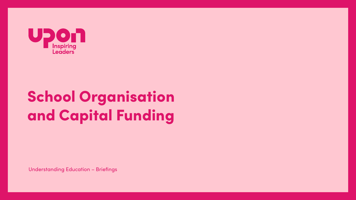

# **School Organisation** and Capital Funding

**Understanding Education - Briefings**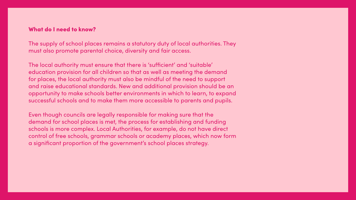## **What do I need to know?**

The supply of school places remains a statutory duty of local authorities. They must also promote parental choice, diversity and fair access.

The local authority must ensure that there is 'sufficient' and 'suitable' education provision for all children so that as well as meeting the demand for places, the local authority must also be mindful of the need to support and raise educational standards. New and additional provision should be an opportunity to make schools better environments in which to learn, to expand successful schools and to make them more accessible to parents and pupils.

Even though councils are legally responsible for making sure that the demand for school places is met, the process for establishing and funding schools is more complex. Local Authorities, for example, do not have direct control of free schools, grammar schools or academy places, which now form a significant proportion of the government's school places strategy.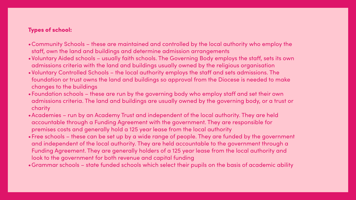# Types of school:

- •Community Schools these are maintained and controlled by the local authority who employ the staff, own the land and buildings and determine admission arrangements
- •Voluntary Aided schools usually faith schools. The Governing Body employs the staff, sets its own admissions criteria with the land and buildings usually owned by the religious organisation
- •Voluntary Controlled Schools the local authority employs the staff and sets admissions. The foundation or trust owns the land and buildings so approval from the Diocese is needed to make changes to the buildings
- •Foundation schools these are run by the governing body who employ staff and set their own admissions criteria. The land and buildings are usually owned by the governing body, or a trust or charity
- •Academies run by an Academy Trust and independent of the local authority. They are held accountable through a Funding Agreement with the government. They are responsible for premises costs and generally hold a 125 year lease from the local authority
- •Free schools these can be set up by a wide range of people. They are funded by the government and independent of the local authority. They are held accountable to the government through a Funding Agreement. They are generally holders of a 125 year lease from the local authority and look to the government for both revenue and capital funding
- •Grammar schools state funded schools which select their pupils on the basis of academic ability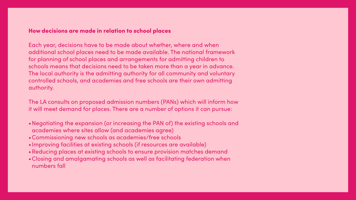### How decisions are made in relation to school places

Each year, decisions have to be made about whether, where and when additional school places need to be made available. The national framework for planning of school places and arrangements for admitting children to schools means that decisions need to be taken more than a year in advance. The local authority is the admitting authority for all community and voluntary controlled schools, and academies and free schools are their own admitting authority.

The LA consults on proposed admission numbers (PANs) which will inform how it will meet demand for places. There are a number of options it can pursue:

- •Negotiating the expansion (or increasing the PAN of) the existing schools and academies where sites allow (and academies agree)
- •Commissioning new schools as academies/free schools
- •Improving facilities at existing schools (if resources are available)
- •Reducing places at existing schools to ensure provision matches demand
- •Closing and amalgamating schools as well as facilitating federation when numbers fall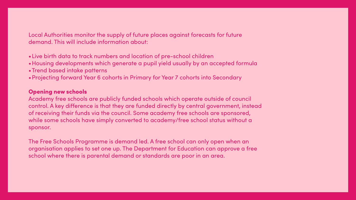# Local Authorities monitor the supply of future places against forecasts for future demand. This will include information about:

- •Live birth data to track numbers and location of pre-school children
- •Housing developments which generate a pupil yield usually by an accepted formula
- •Trend based intake patterns
- •Projecting forward Year 6 cohorts in Primary for Year 7 cohorts into Secondary

## Opening new schools

Academy free schools are publicly funded schools which operate outside of council control. A key difference is that they are funded directly by central government, instead of receiving their funds via the council. Some academy free schools are sponsored, while some schools have simply converted to academy/free school status without a sponsor.

The Free Schools Programme is demand led. A free school can only open when an organisation applies to set one up. The Department for Education can approve a free school where there is parental demand or standards are poor in an area.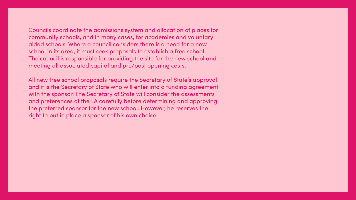# Councils coordinate the admissions system and allocation of places for community schools, and in many cases, for academies and voluntary aided schools. Where a council considers there is a need for a new school in its area, it must seek proposals to establish a free school. The council is responsible for providing the site for the new school and

meeting all associated capital and pre/post opening costs.

All new free school proposals require the Secretary of State's approval and it is the Secretary of State who will enter into a funding agreement with the sponsor. The Secretary of State will consider the assessments and preferences of the LA carefully before determining and approving the preferred sponsor for the new school. However, he reserves the right to put in place a sponsor of his own choice.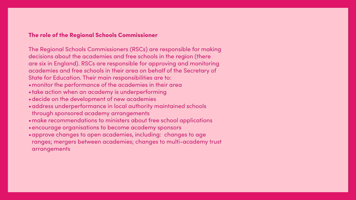### The role of the Regional Schools Commissioner

The Regional Schools Commissioners (RSCs) are responsible for making decisions about the academies and free schools in the region (there are six in England). RSCs are responsible for approving and monitoring academies and free schools in their area on behalf of the Secretary of State for Education. Their main responsibilities are to: . monitor the performance of the academies in their area . take action when an academy is underperforming . decide on the development of new academies · address underperformance in local authority maintained schools through sponsored academy arrangements • make recommendations to ministers about free school applications . encourage organisations to become academy sponsors • approve changes to open academies, including: changes to age ranges; mergers between academies; changes to multi-academy trust

arrangements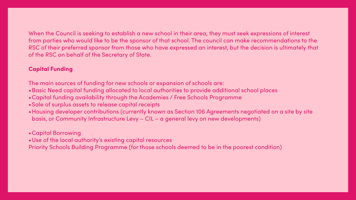When the Council is seeking to establish a new school in their area, they must seek expressions of interest from parties who would like to be the sponsor of that school. The council can make recommendations to the RSC of their preferred sponsor from those who have expressed an interest, but the decision is ultimately that of the RSC on behalf of the Secretary of State.

# Capital Funding

The main sources of funding for new schools or expansion of schools are: •Basic Need capital funding allocated to local authorities to provide additional school places •Capital funding availability through the Academies / Free Schools Programme

•Housing developer contributions (currently known as Section 106 Agreements negotiated on a site by site

- 
- 
- •Sale of surplus assets to release capital receipts
- basis, or Community Infrastructure Levy CIL a general levy on new developments)

# •Capital Borrowing

•Use of the local authority's existing capital resources Priority Schools Building Programme (for those schools deemed to be in the poorest condition)